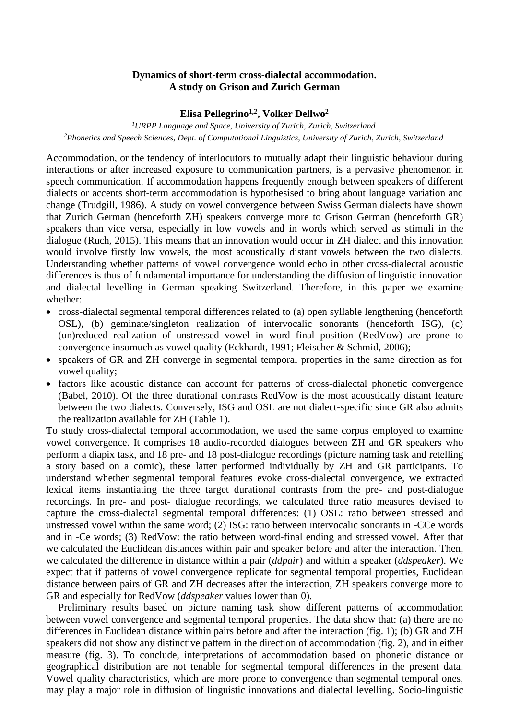## **Dynamics of short-term cross-dialectal accommodation. A study on Grison and Zurich German**

## **Elisa Pellegrino1,2 , Volker Dellwo<sup>2</sup>**

*<sup>1</sup>URPP Language and Space, University of Zurich, Zurich, Switzerland <sup>2</sup>Phonetics and Speech Sciences, Dept. of Computational Linguistics, University of Zurich, Zurich, Switzerland*

Accommodation, or the tendency of interlocutors to mutually adapt their linguistic behaviour during interactions or after increased exposure to communication partners, is a pervasive phenomenon in speech communication. If accommodation happens frequently enough between speakers of different dialects or accents short-term accommodation is hypothesised to bring about language variation and change (Trudgill, 1986). A study on vowel convergence between Swiss German dialects have shown that Zurich German (henceforth ZH) speakers converge more to Grison German (henceforth GR) speakers than vice versa, especially in low vowels and in words which served as stimuli in the dialogue (Ruch, 2015). This means that an innovation would occur in ZH dialect and this innovation would involve firstly low vowels, the most acoustically distant vowels between the two dialects. Understanding whether patterns of vowel convergence would echo in other cross-dialectal acoustic differences is thus of fundamental importance for understanding the diffusion of linguistic innovation and dialectal levelling in German speaking Switzerland. Therefore, in this paper we examine whether:

- cross-dialectal segmental temporal differences related to (a) open syllable lengthening (henceforth OSL), (b) geminate/singleton realization of intervocalic sonorants (henceforth ISG), (c) (un)reduced realization of unstressed vowel in word final position (RedVow) are prone to convergence insomuch as vowel quality (Eckhardt, 1991; Fleischer & Schmid, 2006);
- speakers of GR and ZH converge in segmental temporal properties in the same direction as for vowel quality;
- factors like acoustic distance can account for patterns of cross-dialectal phonetic convergence (Babel, 2010). Of the three durational contrasts RedVow is the most acoustically distant feature between the two dialects. Conversely, ISG and OSL are not dialect-specific since GR also admits the realization available for ZH (Table 1).

To study cross-dialectal temporal accommodation, we used the same corpus employed to examine vowel convergence. It comprises 18 audio-recorded dialogues between ZH and GR speakers who perform a diapix task, and 18 pre- and 18 post-dialogue recordings (picture naming task and retelling a story based on a comic), these latter performed individually by ZH and GR participants. To understand whether segmental temporal features evoke cross-dialectal convergence, we extracted lexical items instantiating the three target durational contrasts from the pre- and post-dialogue recordings. In pre- and post- dialogue recordings, we calculated three ratio measures devised to capture the cross-dialectal segmental temporal differences: (1) OSL: ratio between stressed and unstressed vowel within the same word; (2) ISG: ratio between intervocalic sonorants in -CCe words and in -Ce words; (3) RedVow: the ratio between word-final ending and stressed vowel. After that we calculated the Euclidean distances within pair and speaker before and after the interaction. Then, we calculated the difference in distance within a pair (*ddpair*) and within a speaker (*ddspeaker*). We expect that if patterns of vowel convergence replicate for segmental temporal properties, Euclidean distance between pairs of GR and ZH decreases after the interaction, ZH speakers converge more to GR and especially for RedVow (*ddspeaker* values lower than 0).

Preliminary results based on picture naming task show different patterns of accommodation between vowel convergence and segmental temporal properties. The data show that: (a) there are no differences in Euclidean distance within pairs before and after the interaction (fig. 1); (b) GR and ZH speakers did not show any distinctive pattern in the direction of accommodation (fig. 2), and in either measure (fig. 3). To conclude, interpretations of accommodation based on phonetic distance or geographical distribution are not tenable for segmental temporal differences in the present data. Vowel quality characteristics, which are more prone to convergence than segmental temporal ones, may play a major role in diffusion of linguistic innovations and dialectal levelling. Socio-linguistic